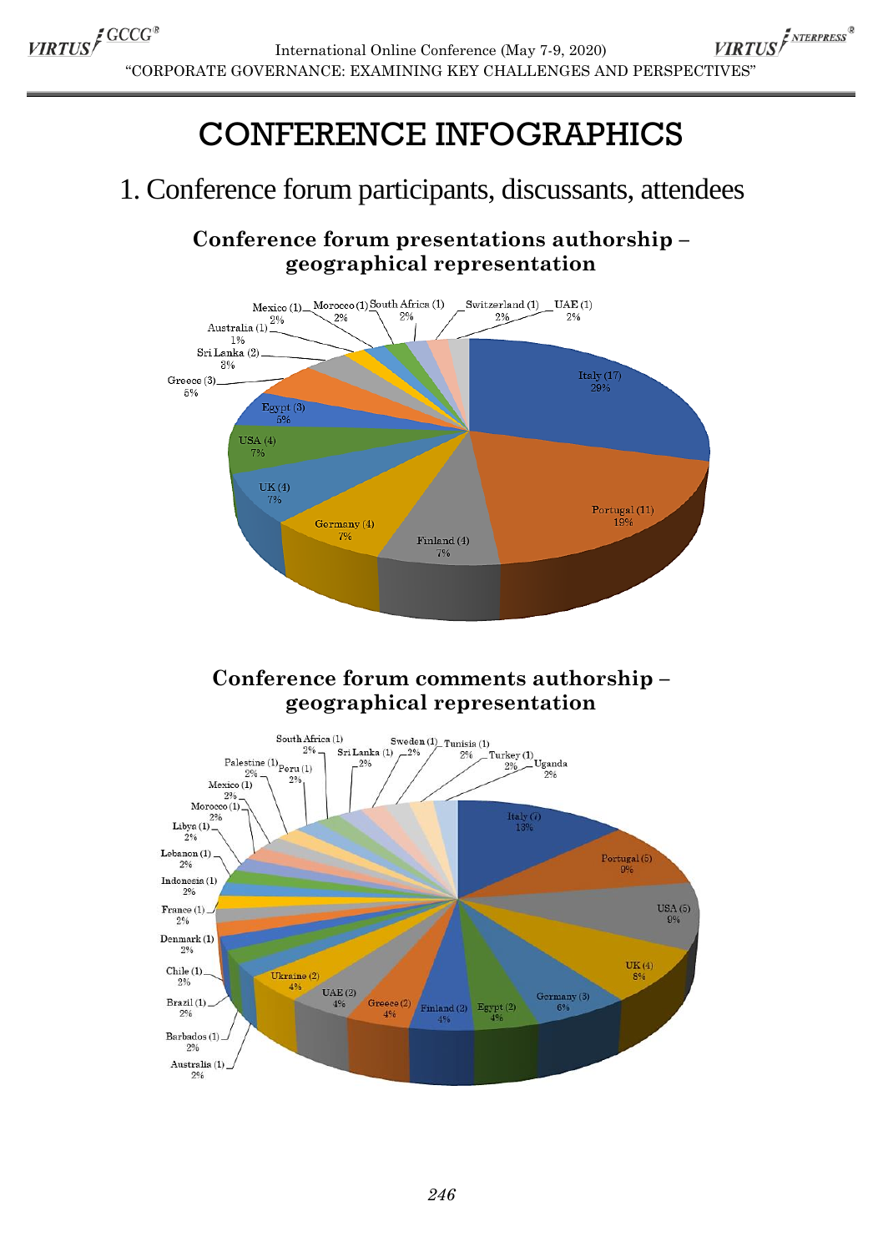# CONFERENCE INFOGRAPHICS

## 1. Conference forum participants, discussants, attendees

**Conference forum presentations authorship – geographical representation**



## **Conference forum comments authorship – geographical representation**

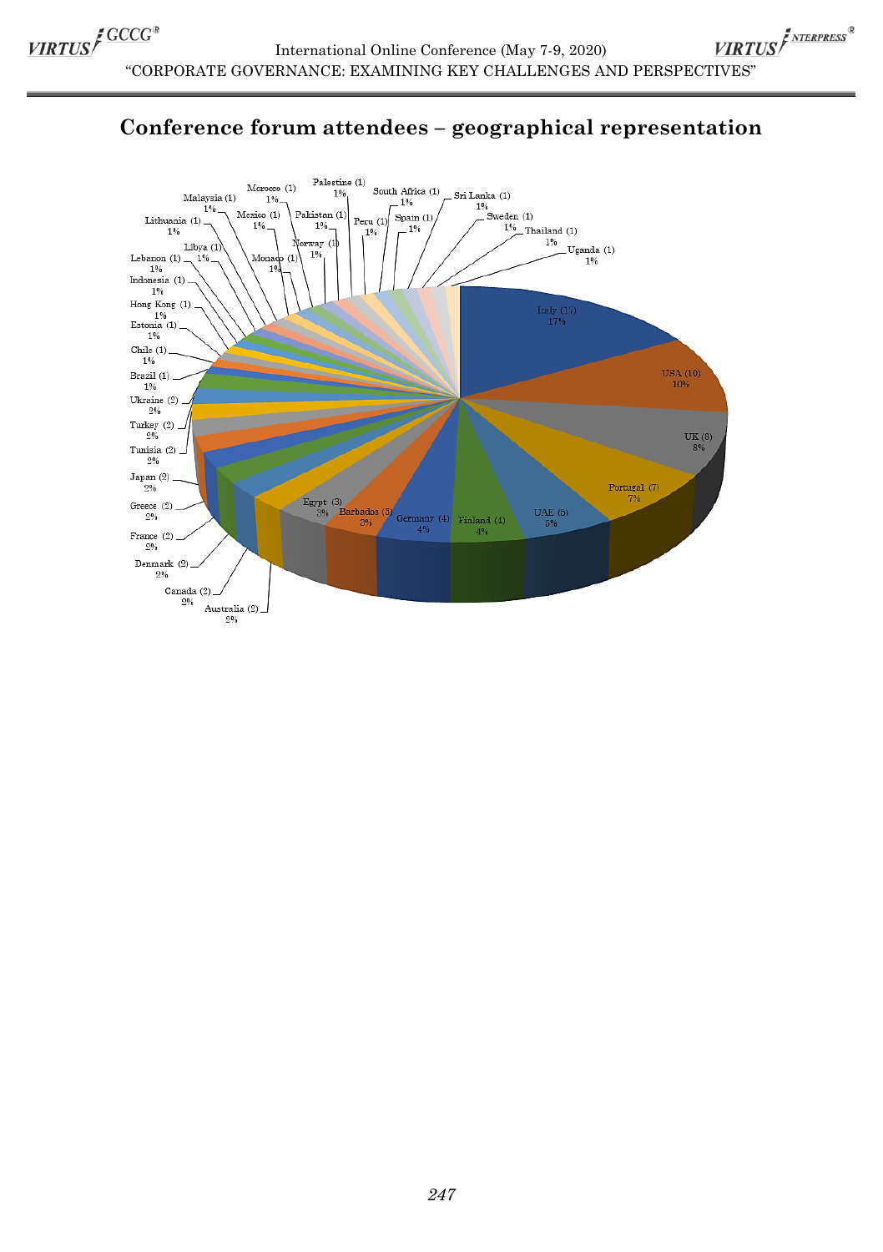

## **Conference forum attendees – geographical representation**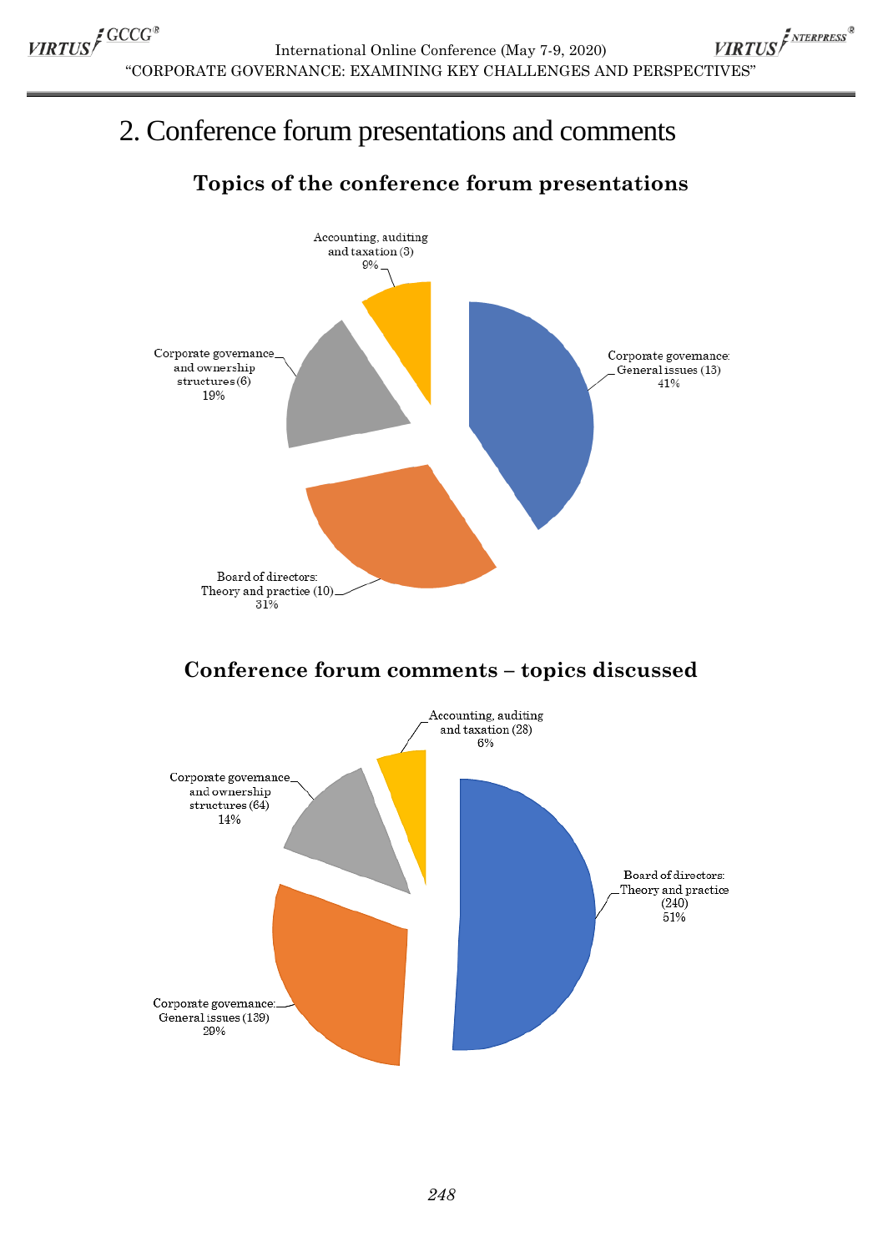VIRTUS<sup>INTERPRESS®</sup> International Online Conference (May 7-9, 2020) "CORPORATE GOVERNANCE: EXAMINING KEY CHALLENGES AND PERSPECTIVES"

## 2. Conference forum presentations and comments

## **Topics of the conference forum presentations**



## **Conference forum comments – topics discussed**

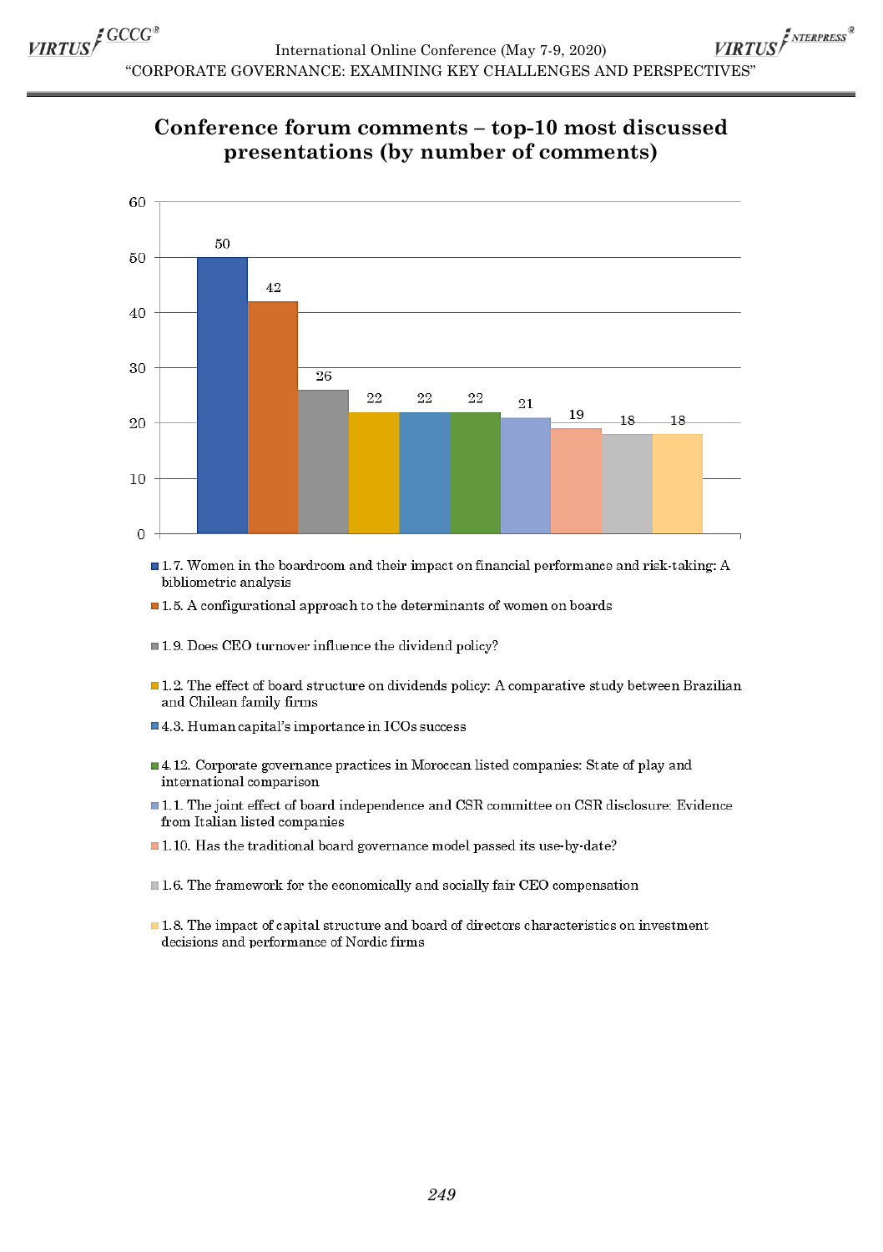VIRTUS<sup>I NTERPRESS®</sup> International Online Conference (May 7-9, 2020) "CORPORATE GOVERNANCE: EXAMINING KEY CHALLENGES AND PERSPECTIVES"

### Conference forum comments - top-10 most discussed presentations (by number of comments)



- 1.7. Women in the boardroom and their impact on financial performance and risk-taking: A bibliometric analysis
- $\blacksquare$  1.5. A configurational approach to the determinants of women on boards
- $\blacksquare$  1.9. Does CEO turnover influence the dividend policy?
- $\blacksquare$  1.2. The effect of board structure on dividends policy: A comparative study between Brazilian and Chilean family firms
- 4.3. Human capital's importance in ICOs success
- 4.12. Corporate governance practices in Moroccan listed companies: State of play and international comparison
- 1.1. The joint effect of board independence and CSR committee on CSR disclosure: Evidence from Italian listed companies
- 1.10. Has the traditional board governance model passed its use-by-date?
- $\blacksquare$  1.6. The framework for the economically and socially fair CEO compensation
- $\blacksquare$  1.8. The impact of capital structure and board of directors characteristics on investment decisions and performance of Nordic firms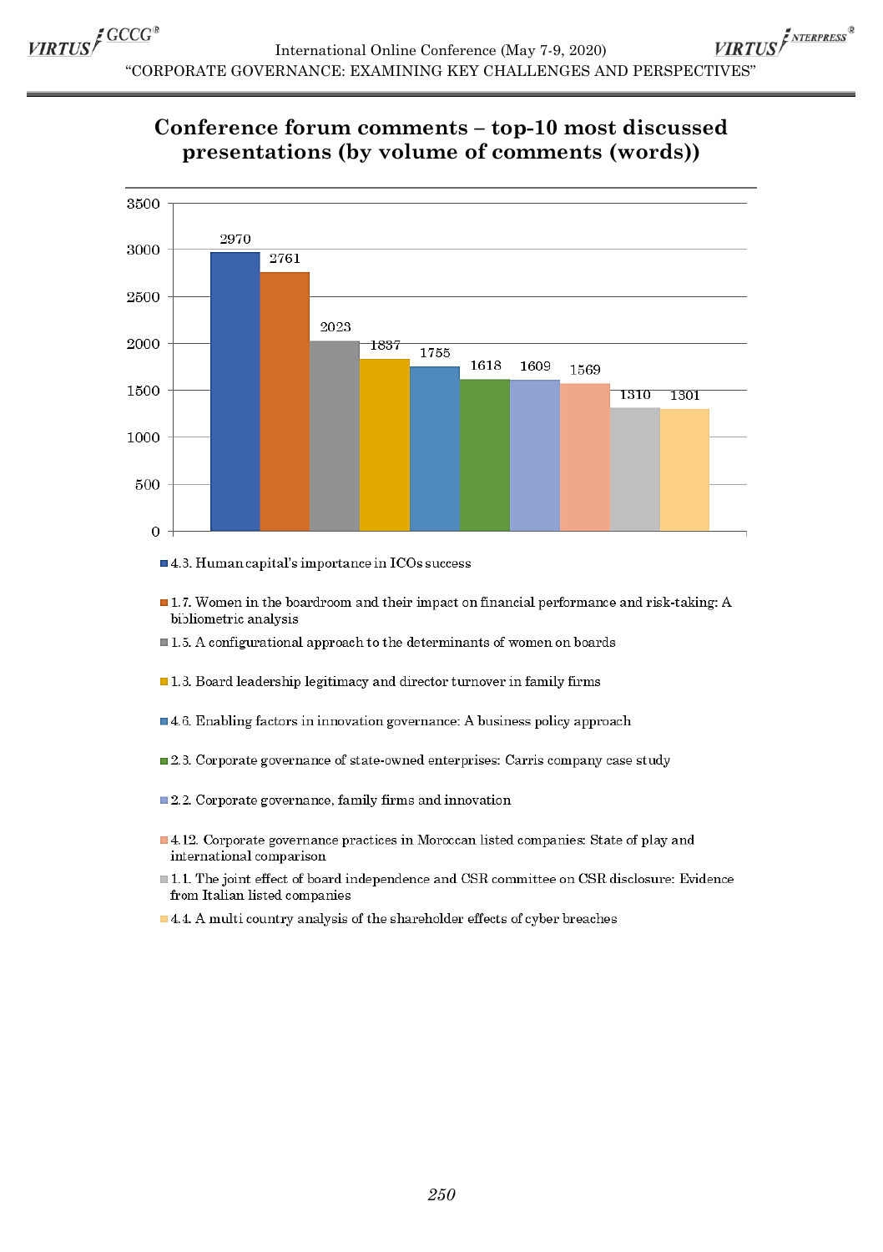VIRTUS<sup>I NTERPRESS®</sup> International Online Conference (May 7-9, 2020) "CORPORATE GOVERNANCE: EXAMINING KEY CHALLENGES AND PERSPECTIVES"

## Conference forum comments - top-10 most discussed presentations (by volume of comments (words))



- $\blacksquare$  4.3. Human capital's importance in ICOs success
- $\blacksquare$  1.7. Women in the boardroom and their impact on financial performance and risk-taking: A bibliometric analysis
- $\blacksquare$  1.5. A configurational approach to the determinants of women on boards
- $\blacksquare$  1.3. Board leadership legitimacy and director turnover in family firms
- $\blacksquare$  4.6. Enabling factors in innovation governance: A business policy approach
- $\blacksquare$  2.3. Corporate governance of state-owned enterprises: Carris company case study
- 2.2. Corporate governance, family firms and innovation
- 4.12. Corporate governance practices in Moroccan listed companies: State of play and international comparison
- 1.1. The joint effect of board independence and CSR committee on CSR disclosure: Evidence from Italian listed companies
- 4.4. A multi country analysis of the shareholder effects of cyber breaches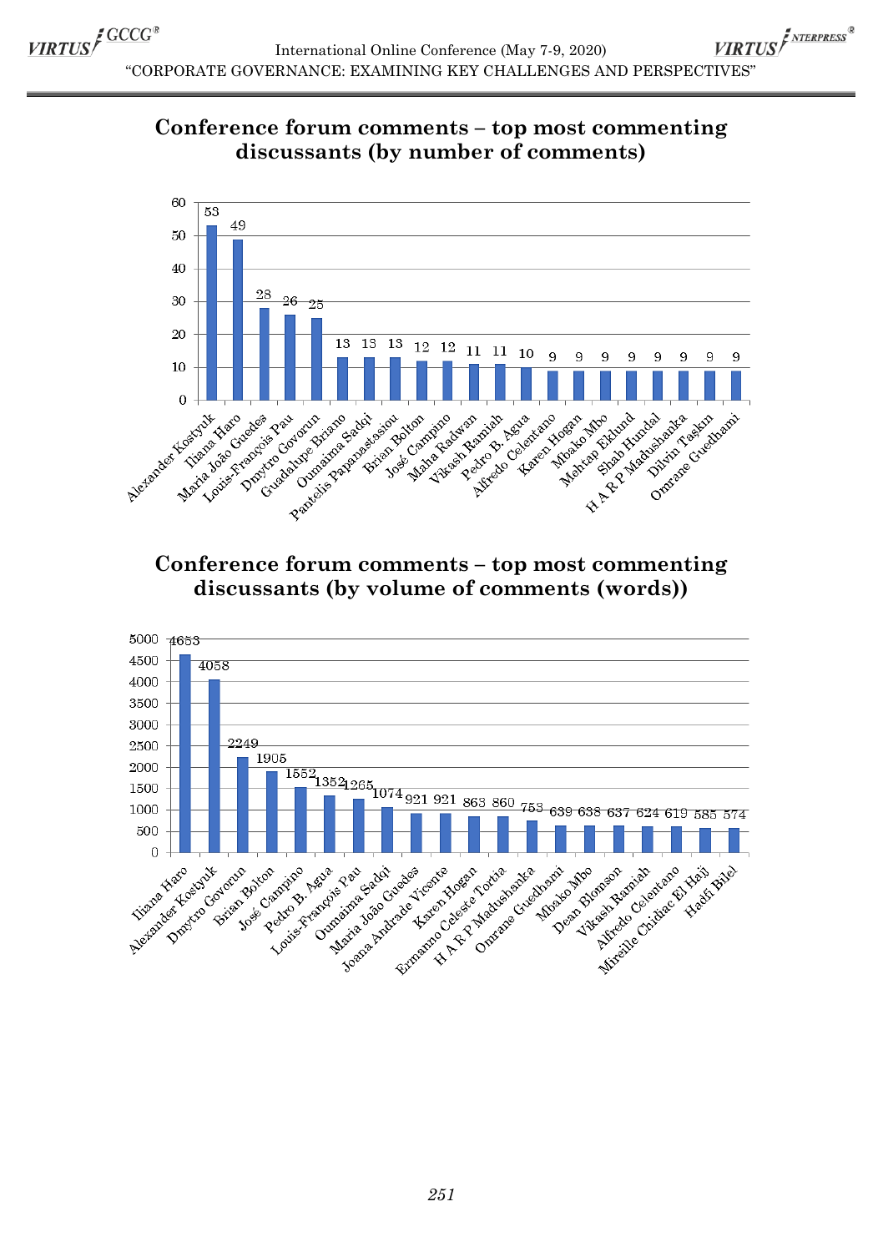VIRTUS<sup>F NTERPRESS®</sup> International Online Conference (May 7-9, 2020) "CORPORATE GOVERNANCE: EXAMINING KEY CHALLENGES AND PERSPECTIVES"





### **Conference forum comments – top most commenting discussants (by volume of comments (words))**